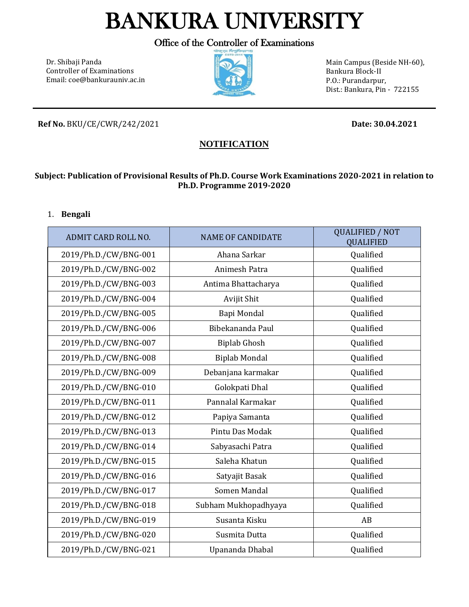# BANKURA UNIVERSITY

Office of the Controller of Examinations

Dr. Shibaji Panda Controller of Examinations Email[: coe@b](mailto:coe@)ankurauniv.ac.in



Main Campus (Beside NH-60), Bankura Block-II P.O.: Purandarpur, Dist.: Bankura, Pin - 722155

**Ref No.** BKU/CE/CWR/242/2021 **Date: 30.04.2021**

# **NOTIFICATION**

#### **Subject: Publication of Provisional Results of Ph.D. Course Work Examinations 2020-2021 in relation to Ph.D. Programme 2019-2020**

#### 1. **Bengali**

| <b>ADMIT CARD ROLL NO.</b> | <b>NAME OF CANDIDATE</b> | <b>QUALIFIED / NOT</b><br><b>QUALIFIED</b> |
|----------------------------|--------------------------|--------------------------------------------|
| 2019/Ph.D./CW/BNG-001      | Ahana Sarkar             | Qualified                                  |
| 2019/Ph.D./CW/BNG-002      | Animesh Patra            | Qualified                                  |
| 2019/Ph.D./CW/BNG-003      | Antima Bhattacharya      | Qualified                                  |
| 2019/Ph.D./CW/BNG-004      | Avijit Shit              | Qualified                                  |
| 2019/Ph.D./CW/BNG-005      | Bapi Mondal              | Qualified                                  |
| 2019/Ph.D./CW/BNG-006      | Bibekananda Paul         | Qualified                                  |
| 2019/Ph.D./CW/BNG-007      | <b>Biplab Ghosh</b>      | Qualified                                  |
| 2019/Ph.D./CW/BNG-008      | <b>Biplab Mondal</b>     | Qualified                                  |
| 2019/Ph.D./CW/BNG-009      | Debanjana karmakar       | Qualified                                  |
| 2019/Ph.D./CW/BNG-010      | Golokpati Dhal           | Qualified                                  |
| 2019/Ph.D./CW/BNG-011      | Pannalal Karmakar        | Qualified                                  |
| 2019/Ph.D./CW/BNG-012      | Papiya Samanta           | Qualified                                  |
| 2019/Ph.D./CW/BNG-013      | Pintu Das Modak          | Qualified                                  |
| 2019/Ph.D./CW/BNG-014      | Sabyasachi Patra         | Qualified                                  |
| 2019/Ph.D./CW/BNG-015      | Saleha Khatun            | Qualified                                  |
| 2019/Ph.D./CW/BNG-016      | Satyajit Basak           | Qualified                                  |
| 2019/Ph.D./CW/BNG-017      | Somen Mandal             | Qualified                                  |
| 2019/Ph.D./CW/BNG-018      | Subham Mukhopadhyaya     | Qualified                                  |
| 2019/Ph.D./CW/BNG-019      | Susanta Kisku            | AB                                         |
| 2019/Ph.D./CW/BNG-020      | Susmita Dutta            | Qualified                                  |
| 2019/Ph.D./CW/BNG-021      | Upananda Dhabal          | Qualified                                  |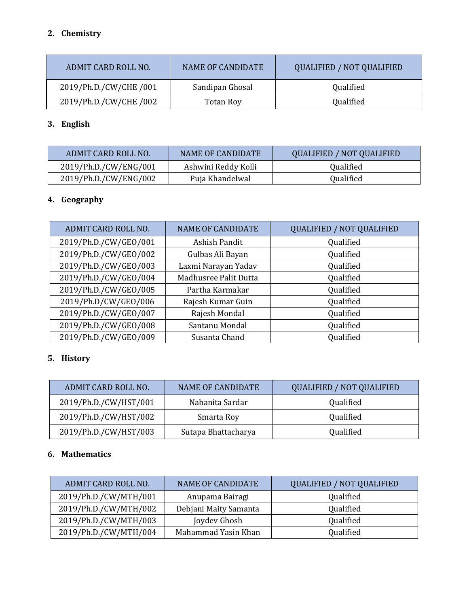## **2. Chemistry**

| ADMIT CARD ROLL NO.    | NAME OF CANDIDATE | <b>QUALIFIED / NOT QUALIFIED</b> |
|------------------------|-------------------|----------------------------------|
| 2019/Ph.D./CW/CHE /001 | Sandipan Ghosal   | Qualified                        |
| 2019/Ph.D./CW/CHE/002  | <b>Totan Roy</b>  | Qualified                        |

# **3. English**

| ADMIT CARD ROLL NO.   | NAME OF CANDIDATE   | QUALIFIED / NOT QUALIFIED |
|-----------------------|---------------------|---------------------------|
| 2019/Ph.D./CW/ENG/001 | Ashwini Reddy Kolli | Qualified                 |
| 2019/Ph.D./CW/ENG/002 | Puja Khandelwal     | Qualified                 |

# **4. Geography**

| ADMIT CARD ROLL NO.   | <b>NAME OF CANDIDATE</b> | <b>QUALIFIED / NOT QUALIFIED</b> |
|-----------------------|--------------------------|----------------------------------|
| 2019/Ph.D./CW/GEO/001 | Ashish Pandit            | Qualified                        |
| 2019/Ph.D./CW/GEO/002 | Gulbas Ali Bayan         | Qualified                        |
| 2019/Ph.D./CW/GEO/003 | Laxmi Narayan Yadav      | Qualified                        |
| 2019/Ph.D./CW/GEO/004 | Madhusree Palit Dutta    | Qualified                        |
| 2019/Ph.D./CW/GEO/005 | Partha Karmakar          | Qualified                        |
| 2019/Ph.D/CW/GEO/006  | Rajesh Kumar Guin        | Qualified                        |
| 2019/Ph.D./CW/GEO/007 | Rajesh Mondal            | Qualified                        |
| 2019/Ph.D./CW/GEO/008 | Santanu Mondal           | Qualified                        |
| 2019/Ph.D./CW/GEO/009 | Susanta Chand            | Qualified                        |

## **5. History**

| ADMIT CARD ROLL NO.   | <b>NAME OF CANDIDATE</b> | <b>QUALIFIED / NOT QUALIFIED</b> |
|-----------------------|--------------------------|----------------------------------|
| 2019/Ph.D./CW/HST/001 | Nabanita Sardar          | Qualified                        |
| 2019/Ph.D./CW/HST/002 | Smarta Roy               | Qualified                        |
| 2019/Ph.D./CW/HST/003 | Sutapa Bhattacharya      | Qualified                        |

#### **6. Mathematics**

| ADMIT CARD ROLL NO.   | <b>NAME OF CANDIDATE</b> | <b>QUALIFIED / NOT QUALIFIED</b> |
|-----------------------|--------------------------|----------------------------------|
| 2019/Ph.D./CW/MTH/001 | Anupama Bairagi          | Qualified                        |
| 2019/Ph.D./CW/MTH/002 | Debjani Maity Samanta    | Qualified                        |
| 2019/Ph.D./CW/MTH/003 | Joydev Ghosh             | Qualified                        |
| 2019/Ph.D./CW/MTH/004 | Mahammad Yasin Khan      | Qualified                        |